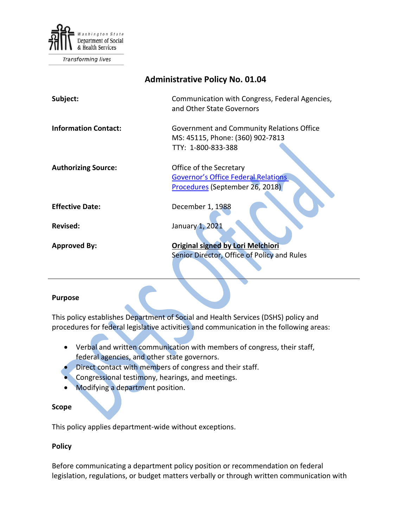

**Transforming lives** 

| <b>Administrative Policy No. 01.04</b> |                                                                                                          |
|----------------------------------------|----------------------------------------------------------------------------------------------------------|
| Subject:                               | Communication with Congress, Federal Agencies,<br>and Other State Governors                              |
| <b>Information Contact:</b>            | Government and Community Relations Office<br>MS: 45115, Phone: (360) 902-7813<br>TTY: 1-800-833-388      |
| <b>Authorizing Source:</b>             | Office of the Secretary<br><b>Governor's Office Federal Relations</b><br>Procedures (September 26, 2018) |
| <b>Effective Date:</b>                 | December 1, 1988                                                                                         |
| Revised:                               | January 1, 2021                                                                                          |
| <b>Approved By:</b>                    | <b>Original signed by Lori Melchiori</b><br>Senior Director, Office of Policy and Rules                  |
|                                        |                                                                                                          |

### **Purpose**

This policy establishes Department of Social and Health Services (DSHS) policy and procedures for federal legislative activities and communication in the following areas:

- Verbal and written communication with members of congress, their staff, federal agencies, and other state governors.
- Direct contact with members of congress and their staff.
- Congressional testimony, hearings, and meetings.
- Modifying a department position.

### **Scope**

This policy applies department-wide without exceptions.

### **Policy**

Before communicating a department policy position or recommendation on federal legislation, regulations, or budget matters verbally or through written communication with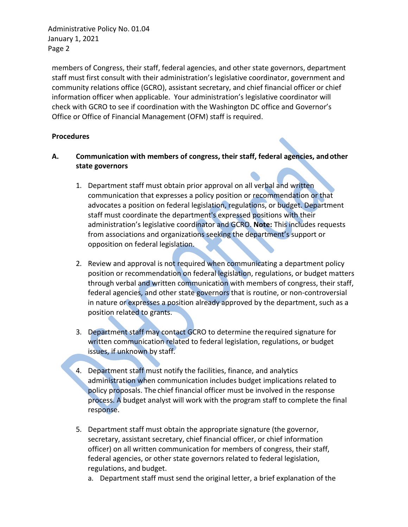members of Congress, their staff, federal agencies, and other state governors, department staff must first consult with their administration's legislative coordinator, government and community relations office (GCRO), assistant secretary, and chief financial officer or chief information officer when applicable. Your administration's legislative coordinator will check with GCRO to see if coordination with the Washington DC office and Governor's Office or Office of Financial Management (OFM) staff is required.

## **Procedures**

- **A. Communication with members of congress, their staff, federal agencies, andother state governors**
	- 1. Department staff must obtain prior approval on all verbal and written communication that expresses a policy position or recommendation or that advocates a position on federal legislation, regulations, or budget. Department staff must coordinate the department's expressed positions with their administration's legislative coordinator and GCRO. **Note:** This includes requests from associations and organizations seeking the department's support or opposition on federal legislation.
	- 2. Review and approval is not required when communicating a department policy position or recommendation on federal legislation, regulations, or budget matters through verbal and written communication with members of congress, their staff, federal agencies, and other state governors that is routine, or non-controversial in nature or expresses a position already approved by the department, such as a position related to grants.
	- 3. Department staff may contact GCRO to determine the required signature for written communication related to federal legislation, regulations, or budget issues, if unknown by staff.
	- 4. Department staff must notify the facilities, finance, and analytics administration when communication includes budget implications related to policy proposals. The chief financial officer must be involved in the response process. A budget analyst will work with the program staff to complete the final response.
	- 5. Department staff must obtain the appropriate signature (the governor, secretary, assistant secretary, chief financial officer, or chief information officer) on all written communication for members of congress, their staff, federal agencies, or other state governors related to federal legislation, regulations, and budget.
		- a. Department staff must send the original letter, a brief explanation of the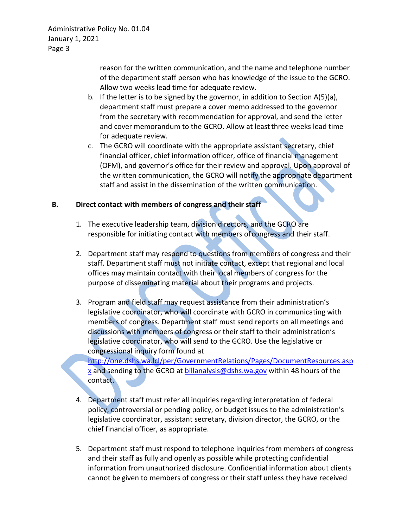> reason for the written communication, and the name and telephone number of the department staff person who has knowledge of the issue to the GCRO. Allow two weeks lead time for adequate review.

- b. If the letter is to be signed by the governor, in addition to Section A(5)(a), department staff must prepare a cover memo addressed to the governor from the secretary with recommendation for approval, and send the letter and cover memorandum to the GCRO. Allow at leastthree weeks lead time for adequate review.
- c. The GCRO will coordinate with the appropriate assistant secretary, chief financial officer, chief information officer, office of financial management (OFM), and governor's office for their review and approval. Upon approval of the written communication, the GCRO will notify the appropriate department staff and assist in the dissemination of the written communication.

## **B. Direct contact with members of congress and their staff**

- 1. The executive leadership team, division directors, and the GCRO are responsible for initiating contact with members of congress and their staff.
- 2. Department staff may respond to questions from members of congress and their staff. Department staff must not initiate contact, except that regional and local offices may maintain contact with their local members of congress for the purpose of disseminating material about their programs and projects.
- 3. Program and field staff may request assistance from their administration's legislative coordinator, who will coordinate with GCRO in communicating with members of congress. Department staff must send reports on all meetings and discussions with members of congress or their staff to their administration's legislative coordinator, who will send to the GCRO. Use the legislative or congressional inquiry form found at

[http://one.dshs.wa.lcl/per/GovernmentRelations/Pages/DocumentResources.asp](http://one.dshs.wa.lcl/per/GovernmentRelations/Pages/DocumentResources.aspx) [x](http://one.dshs.wa.lcl/per/GovernmentRelations/Pages/DocumentResources.aspx) and sending to the GCRO at **billanalysis@dshs.wa.gov** within 48 hours of the contact.

- 4. Department staff must refer all inquiries regarding interpretation of federal policy, controversial or pending policy, or budget issues to the administration's legislative coordinator, assistant secretary, division director, the GCRO, or the chief financial officer, as appropriate.
- 5. Department staff must respond to telephone inquiries from members of congress and their staff as fully and openly as possible while protecting confidential information from unauthorized disclosure. Confidential information about clients cannot be given to members of congress or their staff unless they have received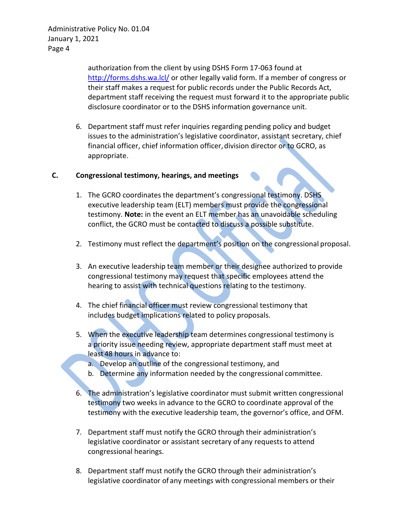> authorization from the client by using DSHS Form 17-063 found at <http://forms.dshs.wa.lcl/> or other legally valid form. If a member of congress or their staff makes a request for public records under the Public Records Act, department staff receiving the request must forward it to the appropriate public disclosure coordinator or to the DSHS information governance unit.

6. Department staff must refer inquiries regarding pending policy and budget issues to the administration's legislative coordinator, assistant secretary, chief financial officer, chief information officer, division director or to GCRO, as appropriate.

## **C. Congressional testimony, hearings, and meetings**

- 1. The GCRO coordinates the department's congressional testimony. DSHS executive leadership team (ELT) members must provide the congressional testimony. **Note:** in the event an ELT member has an unavoidable scheduling conflict, the GCRO must be contacted to discuss a possible substitute.
- 2. Testimony must reflect the department's position on the congressional proposal.
- 3. An executive leadership team member or their designee authorized to provide congressional testimony may request that specific employees attend the hearing to assist with technical questions relating to the testimony.
- 4. The chief financial officer must review congressional testimony that includes budget implications related to policy proposals.
- 5. When the executive leadership team determines congressional testimony is a priority issue needing review, appropriate department staff must meet at least 48 hours in advance to:
	- a. Develop an outline of the congressional testimony, and
	- b. Determine any information needed by the congressional committee.
- 6. The administration's legislative coordinator must submit written congressional testimony two weeks in advance to the GCRO to coordinate approval of the testimony with the executive leadership team, the governor's office, and OFM.
- 7. Department staff must notify the GCRO through their administration's legislative coordinator or assistant secretary of any requests to attend congressional hearings.
- 8. Department staff must notify the GCRO through their administration's legislative coordinator of any meetings with congressional members or their